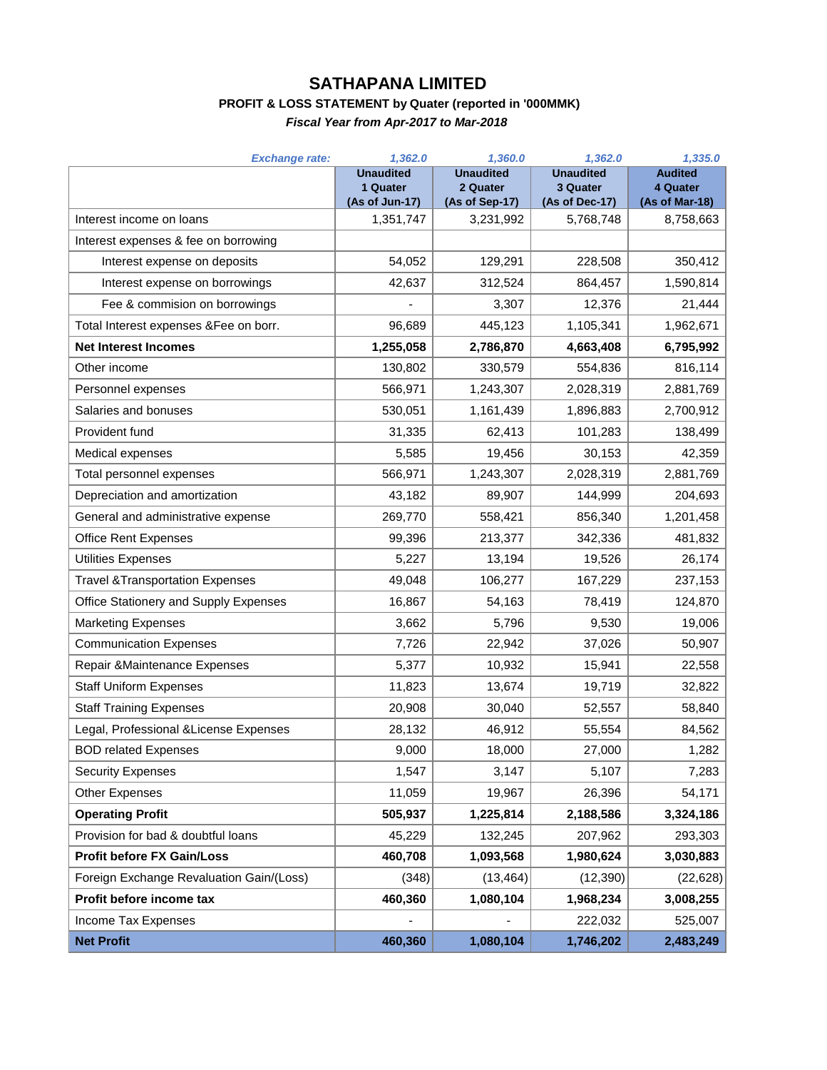## **SATHAPANA LIMITED**

## **PROFIT & LOSS STATEMENT by Quater (reported in '000MMK)**

*Fiscal Year from Apr-2017 to Mar-2018*

| <b>Exchange rate:</b>                      | 1,362.0                      | 1,360.0                      | 1,362.0                      | 1,335.0                    |
|--------------------------------------------|------------------------------|------------------------------|------------------------------|----------------------------|
|                                            | <b>Unaudited</b><br>1 Quater | <b>Unaudited</b><br>2 Quater | <b>Unaudited</b><br>3 Quater | <b>Audited</b><br>4 Quater |
|                                            | (As of Jun-17)               | (As of Sep-17)               | (As of Dec-17)               | (As of Mar-18)             |
| Interest income on loans                   | 1,351,747                    | 3,231,992                    | 5,768,748                    | 8,758,663                  |
| Interest expenses & fee on borrowing       |                              |                              |                              |                            |
| Interest expense on deposits               | 54,052                       | 129,291                      | 228,508                      | 350,412                    |
| Interest expense on borrowings             | 42,637                       | 312,524                      | 864,457                      | 1,590,814                  |
| Fee & commision on borrowings              |                              | 3,307                        | 12,376                       | 21,444                     |
| Total Interest expenses &Fee on borr.      | 96,689                       | 445,123                      | 1,105,341                    | 1,962,671                  |
| <b>Net Interest Incomes</b>                | 1,255,058                    | 2,786,870                    | 4,663,408                    | 6,795,992                  |
| Other income                               | 130,802                      | 330,579                      | 554,836                      | 816,114                    |
| Personnel expenses                         | 566,971                      | 1,243,307                    | 2,028,319                    | 2,881,769                  |
| Salaries and bonuses                       | 530,051                      | 1,161,439                    | 1,896,883                    | 2,700,912                  |
| Provident fund                             | 31,335                       | 62,413                       | 101,283                      | 138,499                    |
| Medical expenses                           | 5,585                        | 19,456                       | 30,153                       | 42,359                     |
| Total personnel expenses                   | 566,971                      | 1,243,307                    | 2,028,319                    | 2,881,769                  |
| Depreciation and amortization              | 43,182                       | 89,907                       | 144,999                      | 204,693                    |
| General and administrative expense         | 269,770                      | 558,421                      | 856,340                      | 1,201,458                  |
| <b>Office Rent Expenses</b>                | 99,396                       | 213,377                      | 342,336                      | 481,832                    |
| Utilities Expenses                         | 5,227                        | 13,194                       | 19,526                       | 26,174                     |
| <b>Travel &amp;Transportation Expenses</b> | 49,048                       | 106,277                      | 167,229                      | 237,153                    |
| Office Stationery and Supply Expenses      | 16,867                       | 54,163                       | 78,419                       | 124,870                    |
| <b>Marketing Expenses</b>                  | 3,662                        | 5,796                        | 9,530                        | 19,006                     |
| <b>Communication Expenses</b>              | 7,726                        | 22,942                       | 37,026                       | 50,907                     |
| Repair & Maintenance Expenses              | 5,377                        | 10,932                       | 15,941                       | 22,558                     |
| <b>Staff Uniform Expenses</b>              | 11,823                       | 13,674                       | 19,719                       | 32,822                     |
| <b>Staff Training Expenses</b>             | 20,908                       | 30,040                       | 52,557                       | 58,840                     |
| Legal, Professional & License Expenses     | 28,132                       | 46,912                       | 55,554                       | 84,562                     |
| <b>BOD related Expenses</b>                | 9,000                        | 18,000                       | 27,000                       | 1,282                      |
| <b>Security Expenses</b>                   | 1,547                        | 3,147                        | 5,107                        | 7,283                      |
| <b>Other Expenses</b>                      | 11,059                       | 19,967                       | 26,396                       | 54,171                     |
| <b>Operating Profit</b>                    | 505,937                      | 1,225,814                    | 2,188,586                    | 3,324,186                  |
| Provision for bad & doubtful loans         | 45,229                       | 132,245                      | 207,962                      | 293,303                    |
| <b>Profit before FX Gain/Loss</b>          | 460,708                      | 1,093,568                    | 1,980,624                    | 3,030,883                  |
| Foreign Exchange Revaluation Gain/(Loss)   | (348)                        | (13, 464)                    | (12, 390)                    | (22, 628)                  |
| Profit before income tax                   | 460,360                      | 1,080,104                    | 1,968,234                    | 3,008,255                  |
| Income Tax Expenses                        |                              |                              | 222,032                      | 525,007                    |
| <b>Net Profit</b>                          | 460,360                      | 1,080,104                    | 1,746,202                    | 2,483,249                  |